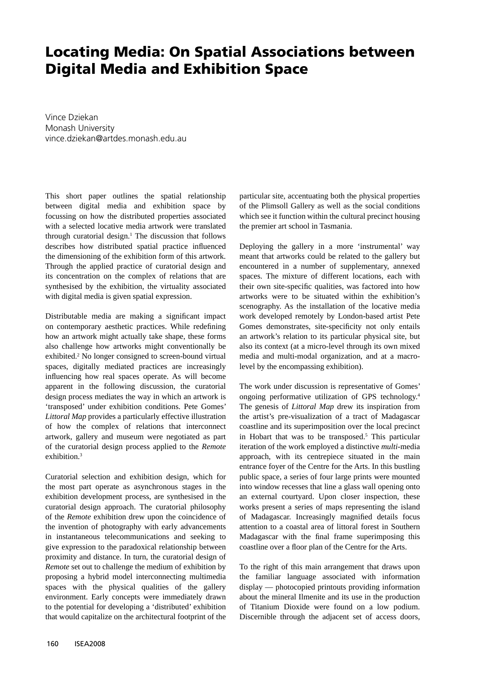## **Locating Media: On Spatial Associations between Digital Media and Exhibition Space**

Vince Dziekan Monash University vince.dziekan@artdes.monash.edu.au

This short paper outlines the spatial relationship between digital media and exhibition space by focussing on how the distributed properties associated with a selected locative media artwork were translated through curatorial design. $<sup>1</sup>$  The discussion that follows</sup> describes how distributed spatial practice influenced the dimensioning of the exhibition form of this artwork. Through the applied practice of curatorial design and its concentration on the complex of relations that are synthesised by the exhibition, the virtuality associated with digital media is given spatial expression.

Distributable media are making a significant impact on contemporary aesthetic practices. While redefining how an artwork might actually take shape, these forms also challenge how artworks might conventionally be exhibited.<sup>2</sup> No longer consigned to screen-bound virtual spaces, digitally mediated practices are increasingly influencing how real spaces operate. As will become apparent in the following discussion, the curatorial design process mediates the way in which an artwork is 'transposed' under exhibition conditions. Pete Gomes' *Littoral Map* provides a particularly effective illustration of how the complex of relations that interconnect artwork, gallery and museum were negotiated as part of the curatorial design process applied to the *Remote* exhibition.<sup>3</sup>

Curatorial selection and exhibition design, which for the most part operate as asynchronous stages in the exhibition development process, are synthesised in the curatorial design approach. The curatorial philosophy of the *Remote* exhibition drew upon the coincidence of the invention of photography with early advancements in instantaneous telecommunications and seeking to give expression to the paradoxical relationship between proximity and distance. In turn, the curatorial design of *Remote* set out to challenge the medium of exhibition by proposing a hybrid model interconnecting multimedia spaces with the physical qualities of the gallery environment. Early concepts were immediately drawn to the potential for developing a 'distributed' exhibition that would capitalize on the architectural footprint of the

particular site, accentuating both the physical properties of the Plimsoll Gallery as well as the social conditions which see it function within the cultural precinct housing the premier art school in Tasmania.

Deploying the gallery in a more 'instrumental' way meant that artworks could be related to the gallery but encountered in a number of supplementary, annexed spaces. The mixture of different locations, each with their own site-specific qualities, was factored into how artworks were to be situated within the exhibition's scenography. As the installation of the locative media work developed remotely by London-based artist Pete Gomes demonstrates, site-specificity not only entails an artwork's relation to its particular physical site, but also its context (at a micro-level through its own mixed media and multi-modal organization, and at a macrolevel by the encompassing exhibition).

The work under discussion is representative of Gomes' ongoing performative utilization of GPS technology.4 The genesis of *Littoral Map* drew its inspiration from the artist's pre-visualization of a tract of Madagascar coastline and its superimposition over the local precinct in Hobart that was to be transposed.<sup>5</sup> This particular iteration of the work employed a distinctive *multi*-media approach, with its centrepiece situated in the main entrance foyer of the Centre for the Arts. In this bustling public space, a series of four large prints were mounted into window recesses that line a glass wall opening onto an external courtyard. Upon closer inspection, these works present a series of maps representing the island of Madagascar. Increasingly magnified details focus attention to a coastal area of littoral forest in Southern Madagascar with the final frame superimposing this coastline over a floor plan of the Centre for the Arts.

To the right of this main arrangement that draws upon the familiar language associated with information display — photocopied printouts providing information about the mineral Ilmenite and its use in the production of Titanium Dioxide were found on a low podium. Discernible through the adjacent set of access doors,